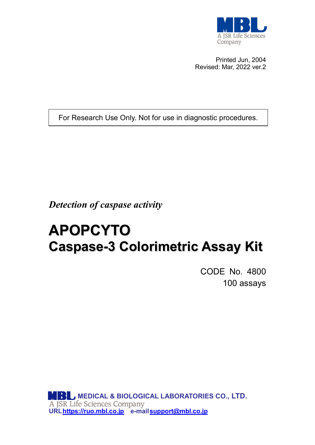

Printed Jun, 2004 Revised: Mar, 2022 ver.2

For Research Use Only. Not for use in diagnostic procedures.

*Detection of caspase activity*

# **APOPCYTO Caspase-3 Colorimetric Assay Kit**

CODE No. 4800 100 assays

**MEDICAL & BIOLOGICAL LABORATORIES CO., LTD. UR[Lhttps://ruo.mbl.co.jp](https://ruo.mbl.co.jp/) e-mail [support@mbl.co.jp](mailto:support@mbl.co.jp)**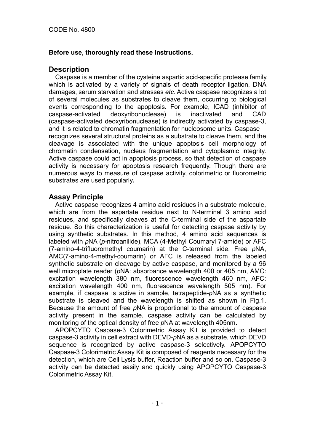## **Before use, thoroughly read these Instructions.**

## **Description**

Caspase is a member of the cysteine aspartic acid-specific protease family, which is activated by a variety of signals of death receptor ligation, DNA damages, serum starvation and stresses *etc*. Active caspase recognizes a lot of several molecules as substrates to cleave them, occurring to biological events corresponding to the apoptosis. For example, ICAD (inhibitor of caspase-activated deoxyribonuclease) is inactivated and CAD (caspase-activated deoxyribonuclease) is indirectly activated by caspase-3, and it is related to chromatin fragmentation for nucleosome units. Caspase recognizes several structural proteins as a substrate to cleave them, and the cleavage is associated with the unique apoptosis cell morphology of chromatin condensation, nucleus fragmentation and cytoplasmic integrity. Active caspase could act in apoptosis process, so that detection of caspase activity is necessary for apoptosis research frequently. Though there are numerous ways to measure of caspase activity, colorimetric or fluorometric substrates are used popularly**.**

## **Assay Principle**

Active caspase recognizes 4 amino acid residues in a substrate molecule, which are from the aspartate residue next to N-terminal 3 amino acid residues, and specifically cleaves at the C-terminal side of the aspartate residue. So this characterization is useful for detecting caspase activity by using synthetic substrates. In this method, 4 amino acid sequences is labeled with *p*NA (*p*-nitroanilide), MCA (4-Methyl Coumaryl 7-amide) or AFC (7-amino-4-trifluoromethyl coumarin) at the C-terminal side. Free *p*NA, AMC(7-amino-4-methyl-coumarin) or AFC is released from the labeled synthetic substrate on cleavage by active caspase, and monitored by a 96 well microplate reader (*p*NA: absorbance wavelength 400 or 405 nm, AMC: excitation wavelength 380 nm, fluorescence wavelength 460 nm, AFC: excitation wavelength 400 nm, fluorescence wavelength 505 nm). For example, if caspase is active in sample, tetrapeptide-*p*NA as a synthetic substrate is cleaved and the wavelength is shifted as shown in Fig.1. Because the amount of free *p*NA is proportional to the amount of caspase activity present in the sample, caspase activity can be calculated by monitoring of the optical density of free *p*NA at wavelength 405nm**.**

APOPCYTO Caspase-3 Colorimetric Assay Kit is provided to detect caspase-3 activity in cell extract with DEVD-*p*NA as a substrate, which DEVD sequence is recognized by active caspase-3 selectively. APOPCYTO Caspase-3 Colorimetric Assay Kit is composed of reagents necessary for the detection, which are Cell Lysis buffer, Reaction buffer and so on. Caspase-3 activity can be detected easily and quickly using APOPCYTO Caspase-3 Colorimetric Assay Kit.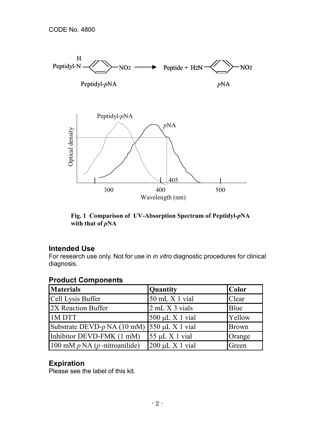

**Fig. 1 Comparison of UV-Absorption Spectrum of Peptidyl-***p***NA with that of** *p***NA**

## **Intended Use**

For research use only. Not for use in *in vitro* diagnostic procedures for clinical diagnosis.

| <b>Materials</b>                   | Quantity             | <b>Color</b> |  |  |
|------------------------------------|----------------------|--------------|--|--|
| Cell Lysis Buffer                  | 50 mL X 1 vial       | Clear        |  |  |
| 2X Reaction Buffer                 | 2 mL X 3 vials       | Blue         |  |  |
| 1M DTT                             | $500 \mu L X 1$ vial | Yellow       |  |  |
| Substrate DEVD- $p$ NA (10 mM)     | $550 \mu L X 1$ vial | <b>Brown</b> |  |  |
| Inhibitor DEVD-FMK (1 mM)          | $55 \mu L X 1$ vial  | Orange       |  |  |
| 100 mM $p$ NA ( $p$ -nitroanilide) | $200 \mu L X 1$ vial | Green        |  |  |

# **Product Components**

# **Expiration**

Please see the label of this kit.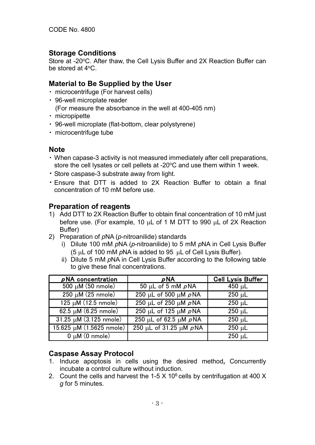## **Storage Conditions**

Store at -20°C. After thaw, the Cell Lysis Buffer and 2X Reaction Buffer can be stored at 4oC.

## **Material to Be Supplied by the User**

- ・ microcentrifuge (For harvest cells)
- ・ 96-well microplate reader (For measure the absorbance in the well at 400-405 nm)
- ・ micropipette
- ・ 96-well microplate (flat-bottom, clear polystyrene)
- ・ microcentrifuge tube

## **Note**

- ・ When capase-3 activity is not measured immediately after cell preparations, store the cell lysates or cell pellets at -20°C and use them within 1 week.
- ・ Store caspase-3 substrate away from light.
- ・ Ensure that DTT is added to 2X Reaction Buffer to obtain a final concentration of 10 mM before use.

## **Preparation of reagents**

- 1) Add DTT to 2X Reaction Buffer to obtain final concentration of 10 mM just before use. (For example, 10 µL of 1 M DTT to 990 µL of 2X Reaction Buffer)
- 2) Preparation of *p*NA (*p*-nitroanilide) standards
	- i) Dilute 100 mM *p*NA (*p*-nitroanilide) to 5 mM *p*NA in Cell Lysis Buffer (5 µL of 100 mM *p*NA is added to 95 µL of Cell Lysis Buffer).
	- ii) Dilute 5 mM *p*NA in Cell Lysis Buffer according to the following table to give these final concentrations.

| $\rho$ NA concentration           | $\rho$ NA                                       | <b>Cell Lysis Buffer</b> |
|-----------------------------------|-------------------------------------------------|--------------------------|
| $500 \mu M$ (50 nmole)            | 50 µL of 5 mM $\rho$ NA                         | 450 $\mu$ L              |
| $250 \mu M (25 \text{ nm})$       | $250 \mu L$ of 500 $\mu$ M $\rho$ NA            | $250 \mu L$              |
| $\frac{125 \mu M}{12.5}$ nmole)   | 250 μL of 250 μM pNA                            | $250 \mu L$              |
| $62.5 \mu M (6.25 \text{ nmole})$ | $\overline{250 \mu}$ L of 125 $\mu$ M $\rho$ NA | $250 \mu L$              |
| $31.25 \mu M (3.125 \text{ nm})$  | 250 μL of 62.5 μM pNA                           | $250 \mu L$              |
| 15.625 µM (1.5625 nmole)          | 250 μL of 31.25 μM pNA                          | $250 \mu L$              |
| $\overline{0 \mu M(0)}$ nmole)    |                                                 | $250 \mu L$              |

## **Caspase Assay Protocol**

- 1. Induce apoptosis in cells using the desired method**,** Concurrently incubate a control culture without induction.
- 2. Count the cells and harvest the 1-5 X 10 $<sup>6</sup>$  cells by centrifugation at 400 X</sup> *g* for 5 minutes.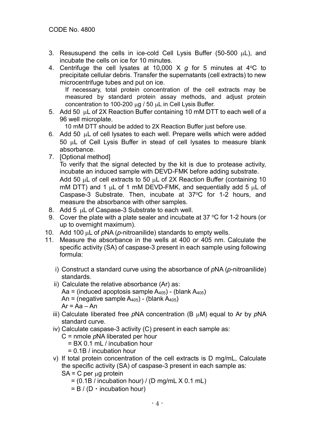- 3. Resusupend the cells in ice-cold Cell Lysis Buffer (50-500  $\mu$ L), and incubate the cells on ice for 10 minutes.
- 4. Centrifuge the cell lysates at 10,000 X *q* for 5 minutes at 4°C to precipitate cellular debris. Transfer the supernatants (cell extracts) to new microcentrifuge tubes and put on ice.

If necessary, total protein concentration of the cell extracts may be measured by standard protein assay methods, and adjust protein concentration to 100-200 µg / 50 µL in Cell Lysis Buffer.

5. Add 50 µL of 2X Reaction Buffer containing 10 mM DTT to each well of a 96 well microplate.

10 mM DTT should be added to 2X Reaction Buffer just before use.

- 6. Add 50 µL of cell lysates to each well. Prepare wells which were added 50 µL of Cell Lysis Buffer in stead of cell lysates to measure blank absorbance.
- 7. [Optional method]

To verify that the signal detected by the kit is due to protease activity, incubate an induced sample with DEVD-FMK before adding substrate.

Add 50  $\mu$ L of cell extracts to 50  $\mu$ L of 2X Reaction Buffer (containing 10 mM DTT) and 1  $\mu$ L of 1 mM DEVD-FMK, and sequentially add 5  $\mu$ L of Caspase-3 Substrate. Then, incubate at 37°C for 1-2 hours, and measure the absorbance with other samples.

- 8. Add 5 µL of Caspase-3 Substrate to each well.
- 9. Cover the plate with a plate sealer and incubate at 37  $\mathrm{^{\circ}C}$  for 1-2 hours (or up to overnight maximum).
- 10. Add 100 µL of *p*NA (*p*-nitroanilide) standards to empty wells.
- 11. Measure the absorbance in the wells at 400 or 405 nm. Calculate the specific activity (SA) of caspase-3 present in each sample using following formula:
	- i) Construct a standard curve using the absorbance of *p*NA (*p*-nitroanilide) standards.
	- ii) Calculate the relative absorbance (Ar) as: Aa = (induced apoptosis sample  $A_{405}$ ) - (blank  $A_{405}$ ) An = (negative sample  $A_{405}$ ) - (blank  $A_{405}$ )  $Ar = Aa - An$
	- iii) Calculate liberated free *p*NA concentration (B µM) equal to Ar by *p*NA standard curve.
	- iv) Calculate caspase-3 activity (C) present in each sample as:
		- C = nmole *p*NA liberated per hour
			- = BX 0.1 mL / incubation hour
			- = 0.1B / incubation hour
	- v) If total protein concentration of the cell extracts is D mg/mL, Calculate the specific activity (SA) of caspase-3 present in each sample as:
		- $SA = C$  per  $\mu$ g protein
			- $=$  (0.1B / incubation hour) / (D mg/mL  $\times$  0.1 mL)
			- $= B / (D \cdot$  incubation hour)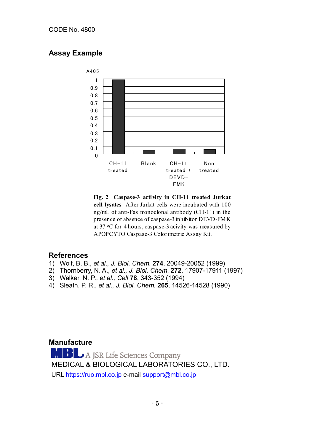# **Assay Example**



**Fig. 2 Caspase-3 activity in CH-11 treated Jurkat cell lysates** After Jurkat cells were incubated with 100 ng/mL of anti-Fas monoclonal antibody (CH-11) in the presence or absence of caspase-3 inhibitor DEVD-FMK at  $37 \text{ °C}$  for 4 hours, caspase-3 acivity was measured by APOPCYTO Caspase-3 Colorimetric Assay Kit.

## **References**

- 1) Wolf, B. B., *et al., J. Biol. Chem*. **274**, 20049-20052 (1999)
- 2) Thornberry, N. A., *et al., J. Biol. Chem*. **272**, 17907-17911 (1997)
- 3) Walker, N. P., *et al., Cell* **78**, 343-352 (1994)
- 4) Sleath, P. R., *et al., J. Biol. Chem*. **265**, 14526-14528 (1990)

## **Manufacture**

**MBL** A JSR Life Sciences Company<br>MEDICAL & BIOLOGICAL LABORATORIES CO., LTD. URL [https://ruo.mbl.co.jp](https://ruo.mbl.co.jp/) e-mail [support@mbl.co.jp](mailto:support@mbl.co.jp)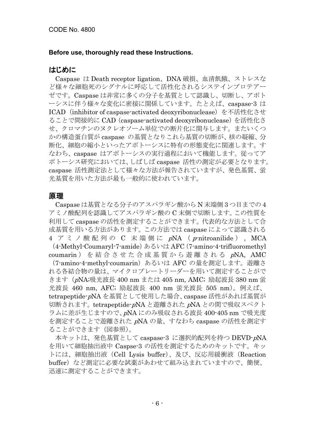#### **Before use, thoroughly read these Instructions.**

## はじめに

Caspase は Death receptor ligation、DNA 破損、血清飢餓、ストレスな ど様々な細胞死のシグナルに呼応して活性化されるシステインプロテアー ゼです。Caspase は非常に多くの分子を基質として認識し、切断し、アポト ーシスに伴う様々な変化に密接に関係しています。たとえば、caspase-3 は ICAD (inhibitor of caspase-activated deoxyribonuclease) を不活性化させ ることで間接的に CAD(caspase-activated deoxyribonuclease)を活性化さ せ、クロマチンのヌクレオソーム単位での断片化に関与します。またいくつ かの構造蛋白質が caspase の基質となりこれら基質の切断が、核の凝縮、分 断化、細胞の縮小といったアポトーシスに特有の形態変化に関連します。す なわち、caspase はアポトーシスの実行過程において機能します。従ってア ポトーシス研究においては、しばしば caspase 活性の測定が必要となります。 caspase 活性測定法として様々な方法が報告されていますが、発色基質、蛍 光基質を用いた方法が最も一般的に使われています。

#### 原理

Caspase は基質となる分子のアスパラギン酸から N 末端側 3 つ目までの 4 アミノ酸配列を認識してアスパラギン酸の C 末側で切断します。この性質を 利用して caspase の活性を測定することができます。代表的な方法として合 成基質を用いる方法があります。この方法では caspase によって認識される 4 アミノ酸配列の C 末端側に pNA (p-nitroanilide), MCA

(4-Methyl-Coumaryl-7-amide)あるいは AFC (7-amino-4-trifluoromethyl coumarin ) を結合させた合成基質から遊離される <sup>p</sup>NA, AMC

(7-amino-4-methyl-coumarin)あるいは AFC の量を測定します。遊離さ れる各結合物の量は、マイクロプレートリーダーを用いて測定することがで きます(pNA;吸光波長 400 nm または 405 nm, AMC; 励起波長 380 nm 蛍 光波長 460 nm, AFC; 励起波長 400 nm 蛍光波長 505 nm)。例えば、 tetrapeptide-pNA を基質として使用した場合、caspase 活性があれば基質が 切断されます。tetrapeptide-pNA と遊離された <sup>p</sup>NA との間で吸収スペクト ラムに差が生じますので、pNA にのみ吸収される波長 400-405 nm で吸光度 を測定することで遊離された <sup>p</sup>NA の量、すなわち caspase の活性を測定す ることができます(図参照)。

本キットは、発色基質として caspase-3 に選択的配列を持つ DEVD-pNA を用いて細胞抽出液中 Caspse-3 の活性を測定するためのキットです。キッ トには、細胞抽出液 (Cell Lysis buffer)、及び、反応用緩衝液 (Reaction buffer)など測定に必要な試薬があわせて組み込まれていますので、簡便、 迅速に測定することができます。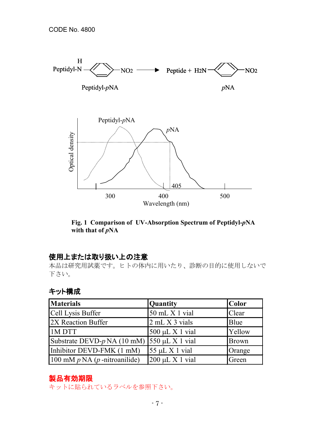

**Fig. 1 Comparison of UV-Absorption Spectrum of Peptidyl-***p***NA with that of** *p***NA**

# 使用上または取り扱い上の注意

本品は研究用試薬です。ヒトの体内に用いたり、診断の目的に使用しないで 下さい。

# キット構成

| <b>Materials</b>                   | Quantity             | <b>Color</b> |
|------------------------------------|----------------------|--------------|
| Cell Lysis Buffer                  | 50 mL X 1 vial       | Clear        |
| 2X Reaction Buffer                 | 2 mL X 3 vials       | Blue         |
| 1M DTT                             | $500 \mu L X 1$ vial | Yellow       |
| Substrate DEVD- $p$ NA (10 mM)     | $550 \mu L X 1$ vial | <b>Brown</b> |
| Inhibitor DEVD-FMK (1 mM)          | $55 \mu L X 1$ vial  | Orange       |
| 100 mM $p$ NA ( $p$ -nitroanilide) | $200 \mu L X 1$ vial | Green        |

# 製品有効期限

キットに貼られているラベルを参照下さい。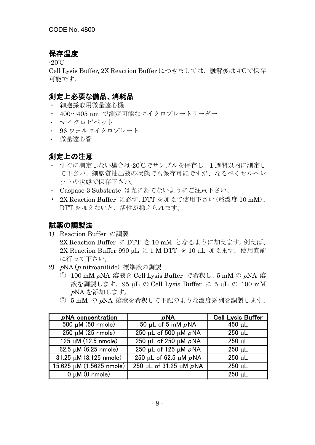# 保存温度

-20℃

Cell Lysis Buffer, 2X Reaction Buffer につきましては、融解後は 4℃で保存 可能です。

# 測定上必要な備品、消耗品

- ・ 細胞採取用微量遠心機
- ・ 400~405 nm で測定可能なマイクロプレートリーダー
- ・ マイクロピペット
- ・ 96 ウェルマイクロプレート
- ・ 微量遠心管

# 測定上の注意

- すぐに測定しない場合は-20℃でサンプルを保存し、1 週間以内に測定し て下さい。細胞質抽出液の状態でも保存可能ですが、なるべくセルペレ ットの状態で保存下さい。
- ・ Caspase-3 Substrate は光にあてないようにご注意下さい。
- ・ 2X Reaction Buffer に必ず、DTT を加えて使用下さい(終濃度 10 mM)。 DTT を加えないと、活性が抑えられます。

# 試薬の調製法

- 1) Reaction Buffer の調製 2X Reaction Buffer に DTT を 10 mM となるように加えます。例えば、 2X Reaction Buffer 990 μL に 1 M DTT を 10 μL 加えます。使用直前 に行って下さい。
- 2) <sup>p</sup>NA (p-nitroanilide) 標準液の調製
	- ① 100 mM pNA 溶液を Cell Lysis Buffer で希釈し、5 mM の <sup>p</sup>NA 溶 液を調製します。95 µL の Cell Lysis Buffer に 5 µL の 100 mM <sup>p</sup>NA を添加します。
	- ② 5 mM の <sup>p</sup>NA 溶液を希釈して下記のような濃度系列を調製します。

| $\rho$ NA concentration           | $\rho$ NA                              | <b>Cell Lysis Buffer</b> |
|-----------------------------------|----------------------------------------|--------------------------|
| $500 \mu M$ (50 nmole)            | 50 µL of 5 mM $\rho$ NA                | 450 $\mu$ L              |
| $250 \mu M$ (25 nmole)            | $250 \mu L$ of 500 $\mu M$ $\rho N$ A  | $250 \mu L$              |
| $125 \mu M (12.5 \text{ nmole})$  | 250 µL of 250 µM $\rho$ NA             | $250 \mu L$              |
| $62.5 \mu M (6.25 \text{ nmole})$ | 250 µL of 125 µM $\rho$ NA             | $250 \mu L$              |
| $31.25 \mu M (3.125 \text{ nm})$  | 250 µL of 62.5 µM $\rho$ NA            | $250 \mu L$              |
| 15.625 µM (1.5625 nmole)          | $250 \mu L$ of 31.25 $\mu$ M $\rho$ NA | $250 \mu L$              |
| $0 \mu M$ (0 nmole)               |                                        | $250 \mu L$              |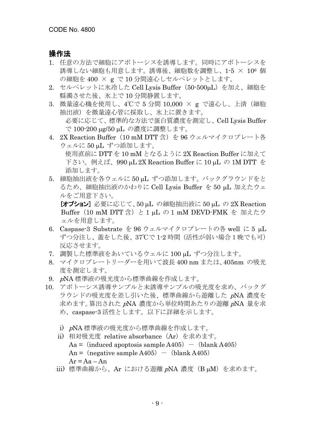## 操作法

- 1. 任意の方法で細胞にアポトーシスを誘導します。同時にアポトーシスを 誘導しない細胞も用意します。誘導後、細胞数を調整し、1-5 × 106 個 の細胞を 400 × g で 10 分間遠心しセルペレットとします。
- 2. セルペレットに氷冷した Cell Lysis Buffer (50-500µL) を加え、細胞を 縣濁させた後、氷上で 10 分間静置します。
- 3. 微量遠心機を使用し、4℃で 5 分間 10,000 × g で遠心し、上清(細胞 抽出液)を微量遠心管に採取し、氷上に置きます。 必要に応じて、標準的な方法で蛋白質濃度を測定し、Cell Lysis Buffer で 100-200 µg/50 µL の濃度に調整します。
- 4. 2X Reaction Buffer (10 mM DTT 含) を 96 ウェルマイクロプレート各 ウェルに 50 µL ずつ添加します。 使用直前に DTT を 10 mM となるように 2X Reaction Buffer に加えて

下さい。例えば、990 µL 2X Reaction Buffer に 10 µL の 1M DTT を 添加します。

5. 細胞抽出液を各ウェルに 50 uL ずつ添加します。 バックグラウンドをと るため、細胞抽出液のかわりに Cell Lysis Buffer を 50 µL 加えたウェ ルをご用意下さい。

[オプション] 必要に応じて、50 µL の細胞抽出液に 50 µL の 2X Reaction Buffer (10 mM DTT 含) と 1 μL の 1 mM DEVD-FMK を 加えたウ ェルを用意します。

- 6. Caspase-3 Substrate を 96 ウェルマイクロプレートの各 well に 5 µL ずつ分注し、蓋をした後、37℃で 1-2 時間(活性が弱い場合1晩でも可) 反応させます。
- 7. 調製した標準液をあいているウェルに 100 µL ずつ分注します。
- 8. マイクロプレートリーダーを用いて波長 400 nm または、405nm の吸光 度を測定します。
- 9. <sup>p</sup>NA 標準液の吸光度から標準曲線を作成します。
- 10. アポトーシス誘導サンプルと未誘導サンプルの吸光度を求め、バックグ ラウンドの吸光度を差し引いた後、標準曲線から遊離した pNA 濃度を 求めます。算出された <sup>p</sup>NA 濃度から単位時間あたりの遊離 <sup>p</sup>NA 量を求 め、caspase-3 活性とします。以下に詳細を示します。
	- i) <sup>p</sup>NA 標準液の吸光度から標準曲線を作成します。
	- ii) 相対吸光度 relative absorbance(Ar)を求めます。  $Aa = (induced apoptosis sample A405) - (blank A405)$ An = (negative sample A405) - (blank A405)  $Ar = Aa - An$
	- iii) 標準曲線から、Ar における遊離 pNA 濃度 (B µM) を求めます。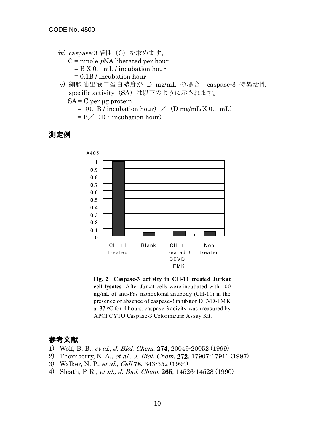- iv) caspase-3 活性(C)を求めます。  $C =$  nmole  $pNA$  liberated per hour = B X 0.1 mL / incubation hour = 0.1B / incubation hour
- v) 細胞抽出液中蛋白濃度が D mg/mL の場合、caspase-3 特異活性 specific activity (SA) は以下のように示されます。
	- $SA = C$  per  $\mu$ g protein
		- $=$  (0.1B / incubation hour)  $/$  (D mg/mL X 0.1 mL)
		- $= B \angle$  (D · incubation hour)

## 測定例



**Fig. 2 Caspase-3 activity in CH-11 treated Jurkat cell lysates** After Jurkat cells were incubated with 100 ng/mL of anti-Fas monoclonal antibody (CH-11) in the presence or absence of caspase-3 inhibitor DEVD-FMK at 37  $\rm{^{\circ}C}$  for 4 hours, caspase-3 acivity was measured by APOPCYTO Caspase-3 Colorimetric Assay Kit.

# 参考文献

- 1) Wolf, B. B., et al., J. Biol. Chem. 274, 20049-20052 (1999)
- 2) Thornberry, N. A., et al., J. Biol. Chem. 272, 17907-17911 (1997)
- 3) Walker, N. P., et al., Cell 78, 343-352 (1994)
- 4) Sleath, P. R., et al., J. Biol. Chem. 265, 14526-14528 (1990)